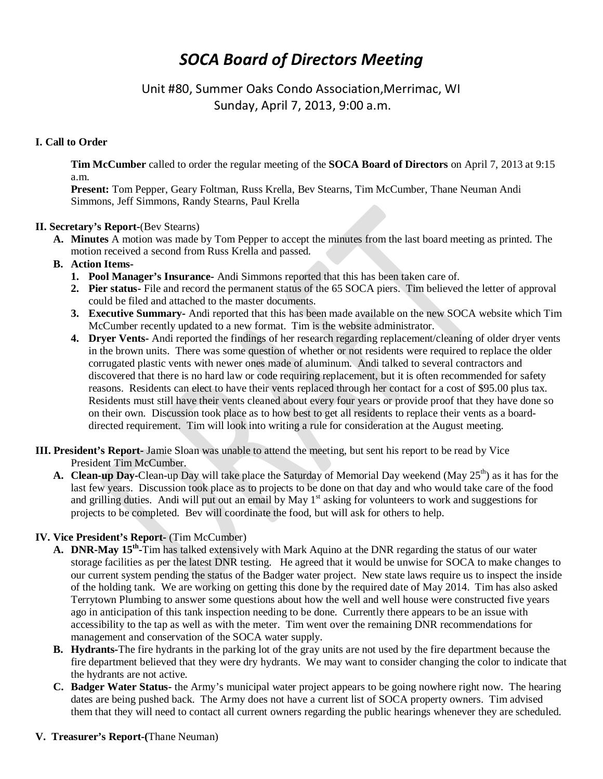# *SOCA Board of Directors Meeting*

Unit #80, Summer Oaks Condo Association,Merrimac, WI Sunday, April 7, 2013, 9:00 a.m.

## **I. Call to Order**

**Tim McCumber** called to order the regular meeting of the **SOCA Board of Directors** on April 7, 2013 at 9:15 a.m.

**Present:** Tom Pepper, Geary Foltman, Russ Krella, Bev Stearns, Tim McCumber, Thane Neuman Andi Simmons, Jeff Simmons, Randy Stearns, Paul Krella

## **II. Secretary's Report-**(Bev Stearns)

- **A. Minutes** A motion was made by Tom Pepper to accept the minutes from the last board meeting as printed. The motion received a second from Russ Krella and passed.
- **B. Action Items-**
	- **1. Pool Manager's Insurance-** Andi Simmons reported that this has been taken care of.
	- **2. Pier status-** File and record the permanent status of the 65 SOCA piers. Tim believed the letter of approval could be filed and attached to the master documents.
	- **3. Executive Summary-** Andi reported that this has been made available on the new SOCA website which Tim McCumber recently updated to a new format. Tim is the website administrator.
	- **4. Dryer Vents-** Andi reported the findings of her research regarding replacement/cleaning of older dryer vents in the brown units. There was some question of whether or not residents were required to replace the older corrugated plastic vents with newer ones made of aluminum. Andi talked to several contractors and discovered that there is no hard law or code requiring replacement, but it is often recommended for safety reasons. Residents can elect to have their vents replaced through her contact for a cost of \$95.00 plus tax. Residents must still have their vents cleaned about every four years or provide proof that they have done so on their own. Discussion took place as to how best to get all residents to replace their vents as a boarddirected requirement. Tim will look into writing a rule for consideration at the August meeting.
- **III. President's Report-** Jamie Sloan was unable to attend the meeting, but sent his report to be read by Vice President Tim McCumber.
	- **A. Clean-up Day-**Clean-up Day will take place the Saturday of Memorial Day weekend (May 25<sup>th</sup>) as it has for the last few years. Discussion took place as to projects to be done on that day and who would take care of the food and grilling duties. And will put out an email by May  $1<sup>st</sup>$  asking for volunteers to work and suggestions for projects to be completed. Bev will coordinate the food, but will ask for others to help.

## **IV. Vice President's Report-** (Tim McCumber)

- **A. DNR-May 15th-**Tim has talked extensively with Mark Aquino at the DNR regarding the status of our water storage facilities as per the latest DNR testing. He agreed that it would be unwise for SOCA to make changes to our current system pending the status of the Badger water project. New state laws require us to inspect the inside of the holding tank. We are working on getting this done by the required date of May 2014. Tim has also asked Terrytown Plumbing to answer some questions about how the well and well house were constructed five years ago in anticipation of this tank inspection needing to be done. Currently there appears to be an issue with accessibility to the tap as well as with the meter. Tim went over the remaining DNR recommendations for management and conservation of the SOCA water supply.
- **B. Hydrants-**The fire hydrants in the parking lot of the gray units are not used by the fire department because the fire department believed that they were dry hydrants. We may want to consider changing the color to indicate that the hydrants are not active.
- **C. Badger Water Status-** the Army's municipal water project appears to be going nowhere right now. The hearing dates are being pushed back. The Army does not have a current list of SOCA property owners. Tim advised them that they will need to contact all current owners regarding the public hearings whenever they are scheduled.

#### **V. Treasurer's Report-(**Thane Neuman)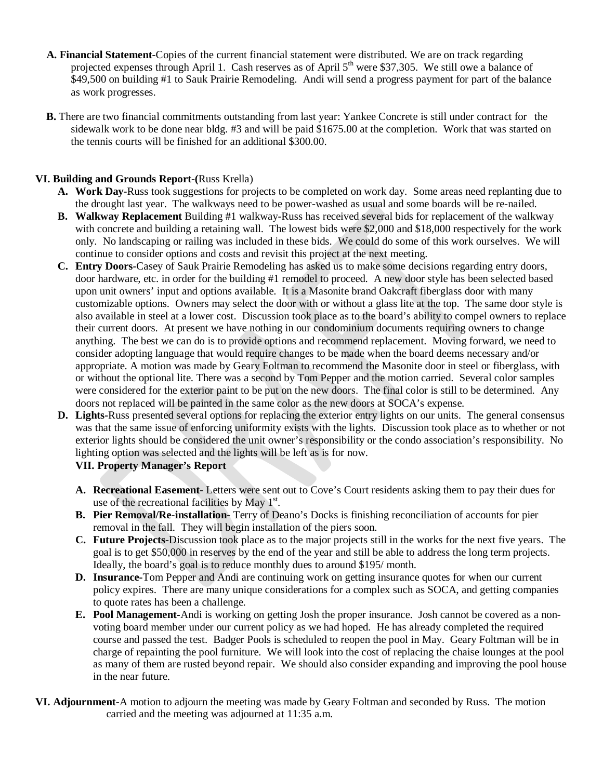- **A. Financial Statement-**Copies of the current financial statement were distributed. We are on track regarding projected expenses through April 1. Cash reserves as of April 5<sup>th</sup> were \$37,305. We still owe a balance of \$49,500 on building #1 to Sauk Prairie Remodeling. Andi will send a progress payment for part of the balance as work progresses.
- **B.** There are two financial commitments outstanding from last year: Yankee Concrete is still under contract for the sidewalk work to be done near bldg. #3 and will be paid \$1675.00 at the completion. Work that was started on the tennis courts will be finished for an additional \$300.00.

## **VI. Building and Grounds Report-(**Russ Krella)

- **A. Work Day**-Russ took suggestions for projects to be completed on work day. Some areas need replanting due to the drought last year. The walkways need to be power-washed as usual and some boards will be re-nailed.
- **B. Walkway Replacement** Building #1 walkway-Russ has received several bids for replacement of the walkway with concrete and building a retaining wall. The lowest bids were \$2,000 and \$18,000 respectively for the work only. No landscaping or railing was included in these bids. We could do some of this work ourselves. We will continue to consider options and costs and revisit this project at the next meeting.
- **C. Entry Doors-**Casey of Sauk Prairie Remodeling has asked us to make some decisions regarding entry doors, door hardware, etc. in order for the building #1 remodel to proceed. A new door style has been selected based upon unit owners' input and options available. It is a Masonite brand Oakcraft fiberglass door with many customizable options. Owners may select the door with or without a glass lite at the top. The same door style is also available in steel at a lower cost. Discussion took place as to the board's ability to compel owners to replace their current doors. At present we have nothing in our condominium documents requiring owners to change anything. The best we can do is to provide options and recommend replacement. Moving forward, we need to consider adopting language that would require changes to be made when the board deems necessary and/or appropriate. A motion was made by Geary Foltman to recommend the Masonite door in steel or fiberglass, with or without the optional lite. There was a second by Tom Pepper and the motion carried. Several color samples were considered for the exterior paint to be put on the new doors. The final color is still to be determined. Any doors not replaced will be painted in the same color as the new doors at SOCA's expense.
- **D. Lights-**Russ presented several options for replacing the exterior entry lights on our units. The general consensus was that the same issue of enforcing uniformity exists with the lights. Discussion took place as to whether or not exterior lights should be considered the unit owner's responsibility or the condo association's responsibility. No lighting option was selected and the lights will be left as is for now.

## **VII. Property Manager's Report**

- **A. Recreational Easement-** Letters were sent out to Cove's Court residents asking them to pay their dues for use of the recreational facilities by May  $1<sup>st</sup>$ .
- **B. Pier Removal/Re-installation-** Terry of Deano's Docks is finishing reconciliation of accounts for pier removal in the fall. They will begin installation of the piers soon.
- **C. Future Projects-**Discussion took place as to the major projects still in the works for the next five years. The goal is to get \$50,000 in reserves by the end of the year and still be able to address the long term projects. Ideally, the board's goal is to reduce monthly dues to around \$195/ month.
- **D. Insurance-**Tom Pepper and Andi are continuing work on getting insurance quotes for when our current policy expires. There are many unique considerations for a complex such as SOCA, and getting companies to quote rates has been a challenge.
- **E. Pool Management-**Andi is working on getting Josh the proper insurance. Josh cannot be covered as a nonvoting board member under our current policy as we had hoped. He has already completed the required course and passed the test. Badger Pools is scheduled to reopen the pool in May. Geary Foltman will be in charge of repainting the pool furniture. We will look into the cost of replacing the chaise lounges at the pool as many of them are rusted beyond repair. We should also consider expanding and improving the pool house in the near future.
- **VI. Adjournment-**A motion to adjourn the meeting was made by Geary Foltman and seconded by Russ. The motion carried and the meeting was adjourned at 11:35 a.m.